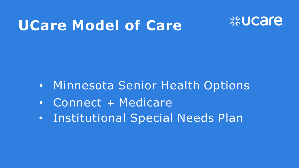## **UCare Model of Care**



- Minnesota Senior Health Options
- Connect + Medicare
- Institutional Special Needs Plan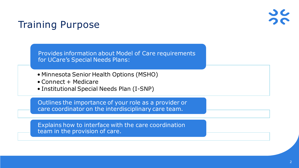### Training Purpose

Provides information about Model of Care requirements for UCare's Special Needs Plans:

- Minnesota Senior Health Options (MSHO)
- Connect + Medicare
- Institutional Special Needs Plan (I-SNP)

Outlines the importance of your role as a provider or care coordinator on the interdisciplinary care team.

Explains how to interface with the care coordination team in the provision of care.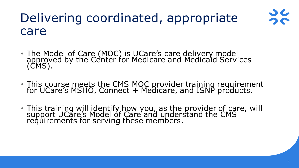## Delivering coordinated, appropriate care



- This course meets the CMS MOC provider training requirement for UCare's MSHO, Connect + Medicare, and ISNP products.
- This training will identify how you, as the provider of care, will support UCare's Model of Care' and understand the CMS requirements for serving these members.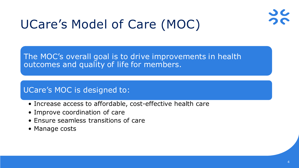

## UCare's Model of Care (MOC)

The MOC's overall goal is to drive improvements in health outcomes and quality of life for members.

### UCare's MOC is designed to:

- Increase access to affordable, cost-effective health care
- Improve coordination of care
- Ensure seamless transitions of care
- Manage costs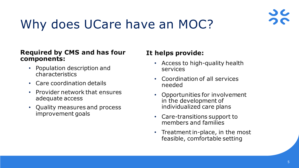

## Why does UCare have an MOC?

#### **Required by CMS and has four components:**

- Population description and characteristics
- Care coordination details
- Provider network that ensures adequate access
- Quality measures and process improvement goals

#### **It helps provide:**

- Access to high-quality health services
- Coordination of all services needed
- Opportunities for involvement in the development of individualized care plans
- Care-transitions support to members and families
- Treatment in-place, in the most feasible, comfortable setting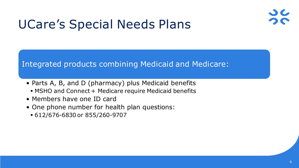

## UCare's Special Needs Plans

#### Integrated products combining Medicaid and Medicare:

- Parts A, B, and D (pharmacy) plus Medicaid benefits MSHO and Connect + Medicare require Medicaid benefits
- Members have one ID card
- One phone number for health plan questions:
	- 612/676-6830 or 855/260-9707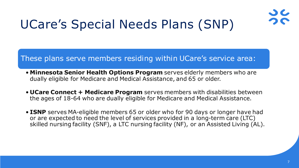

## UCare's Special Needs Plans (SNP)

#### These plans serve members residing within UCare's service area:

- **Minnesota Senior Health Options Program** serves elderly members who are dually eligible for Medicare and Medical Assistance, and 65 or older.
- **UCare Connect + Medicare Program** serves members with disabilities between the ages of 18-64 who are dually eligible for Medicare and Medical Assistance.
- **ISNP** serves MA-eligible members 65 or older who for 90 days or longer have had or are expected to need the level of services provided in a long-term care (LTC) skilled nursing facility (SNF), a LTC nursing facility (NF), or an Assisted Living (AL).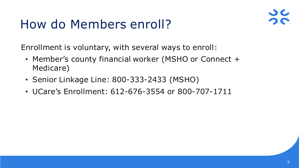## How do Members enroll?



Enrollment is voluntary, with several ways to enroll:

- Member's county financial worker (MSHO or Connect + Medicare)
- Senior Linkage Line: 800-333-2433 (MSHO)
- UCare's Enrollment: 612-676-3554 or 800-707-1711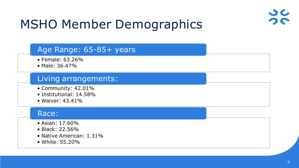

## MSHO Member Demographics

#### Age Range: 65-85+ years

- Female: 63.26%
- Male: 36.47%

#### Living arrangements:

- Community: 42.01%
- Institutional: 14.58%
- Waiver: 43.41%

#### Race:

- Asian: 17.60%
- Black: 22.56%
- Native American: 1.31%
- White: 55.20%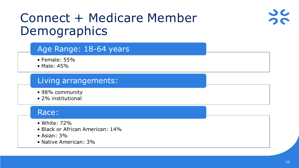## Connect + Medicare Member Demographics



- Female: 55%
- Male: 45%

### Living arrangements:

- 98% community
- 2% institutional

#### Race:

- White: 72%
- Black or African American: 14%
- Asian: 3%
- Native American: 3%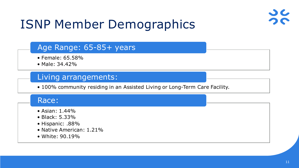

## ISNP Member Demographics

#### Age Range: 65-85+ years

- Female: 65.58%
- Male: 34.42%

#### Living arrangements:

• 100% community residing in an Assisted Living or Long-Term Care Facility.

#### Race:

- Asian: 1.44%
- Black: 5.33%
- Hispanic: .88%
- Native American: 1.21%
- White: 90.19%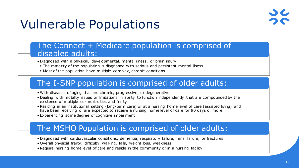

## Vulnerable Populations

#### The Connect + Medicare population is comprised of disabled adults:

- Diagnosed with a physical, developmental, mental illness, or brain injury
- The majority of the population is diagnosed with serious and persistent mental illness
- Most of the population have multiple complex, chronic conditions

#### The I-SNP population is comprised of older adults:

- With diseases of aging that are chronic, progressive, or degenerative
- Dealing with mobility issues or limitations in ability to function independently that are compounded by the existence of multiple co-morbidities and frailty
- Residing in an institutional setting (long-term care) or at a nursing home level of care (assisted living) and have been receiving or are expected to receive a nursing home level of care for 90 days or more
- Experiencing some degree of cognitive impairment

#### The MSHO Population is comprised of older adults:

- Diagnosed with cardiovascular conditions, dementia, respiratory failure, renal failure, or fractures
- Overall physical frailty; difficulty walking, falls, weight loss, weakness
- Require nursing home level of care and reside in the community or in a nursing facility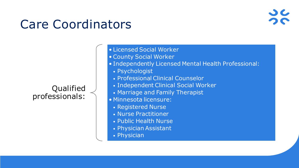## Care Coordinators

Qualified professionals:

- Licensed Social Worker • County Social Worker
- Independently Licensed Mental Health Professional:
	- Psychologist
	- Professional Clinical Counselor
	- Independent Clinical Social Worker
	- Marriage and Family Therapist
- Minnesota licensure:
	- Registered Nurse
	- Nurse Practitioner
	- Public Health Nurse
	- Physician Assistant
	- Physician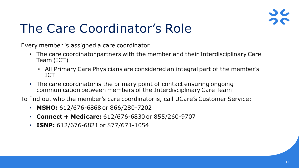

## The Care Coordinator's Role

Every member is assigned a care coordinator

- The care coordinator partners with the member and their Interdisciplinary Care Team (ICT)
	- All Primary Care Physicians are considered an integral part of the member's ICT
- The care coordinator is the primary point of contact ensuring ongoing communication between members of the Interdisciplinary Care Team

To find out who the member's care coordinator is, call UCare's Customer Service:

- **MSHO:** 612/676-6868 or 866/280-7202
- **Connect + Medicare:** 612/676-6830 or 855/260-9707
- **ISNP:** 612/676-6821 or 877/671-1054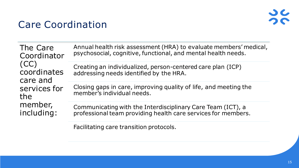# $\frac{1}{2}$

### Care Coordination

| The Care<br>Coordinator<br>(CC)<br>coordinates<br>care and<br>services for<br>the<br>member,<br>including: | Annual health risk assessment (HRA) to evaluate members' medical,<br>psychosocial, cognitive, functional, and mental health needs. |
|------------------------------------------------------------------------------------------------------------|------------------------------------------------------------------------------------------------------------------------------------|
|                                                                                                            | Creating an individualized, person-centered care plan (ICP)<br>addressing needs identified by the HRA.                             |
|                                                                                                            | Closing gaps in care, improving quality of life, and meeting the<br>member's individual needs.                                     |
|                                                                                                            | Communicating with the Interdisciplinary Care Team (ICT), a<br>professional team providing health care services for members.       |

Facilitating care transition protocols.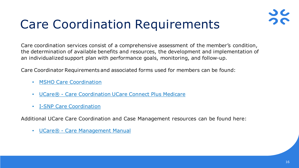

## Care Coordination Requirements

Care coordination services consist of a comprehensive assessment of the member's condition, the determination of available benefits and resources, the development and implementation of an individualized support plan with performance goals, monitoring, and follow-up.

Care Coordinator Requirements and associated forms used for members can be found:

- **[MSHO Care Coordination](https://www.ucare.org/providers/care-managers/ucares-minnesota-senior-health-options-care-coordination-resources)**
- UCare® [Care Coordination UCare Connect Plus Medicare](https://www.ucare.org/providers/care-managers/ucare-connect-medicare-care-coordination-resources)
- [I-SNP Care Coordination](https://www.ucare.org/providers/care-managers/isnp-resources)

Additional UCare Care Coordination and Case Management resources can be found here:

• UCare® - [Care Management Manual](https://www.ucare.org/providers/care-managers/care-management-manual)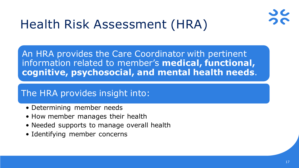

## Health Risk Assessment (HRA)

An HRA provides the Care Coordinator with pertinent information related to member's **medical, functional, cognitive, psychosocial, and mental health needs**.

### The HRA provides insight into:

- Determining member needs
- How member manages their health
- Needed supports to manage overall health
- Identifying member concerns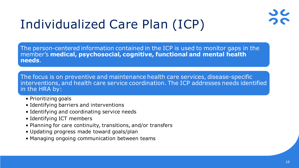## Individualized Care Plan (ICP)

The person-centered information contained in the ICP is used to monitor gaps in the member's **medical, psychosocial, cognitive, functional and mental health needs**.

The focus is on preventive and maintenance health care services, disease-specific interventions, and health care service coordination. The ICP addresses needs identified in the HRA by:

- Prioritizing goals
- Identifying barriers and interventions
- Identifying and coordinating service needs
- Identifying ICT members
- Planning for care continuity, transitions, and/or transfers
- Updating progress made toward goals/plan
- Managing ongoing communication between teams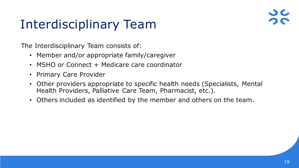## Interdisciplinary Team

The Interdisciplinary Team consists of:

- Member and/or appropriate family/caregiver
- MSHO or Connect + Medicare care coordinator
- Primary Care Provider
- Other providers appropriate to specific health needs (Specialists, Mental Health Providers, Palliative Care Team, Pharmacist, etc.).
- Others included as identified by the member and others on the team.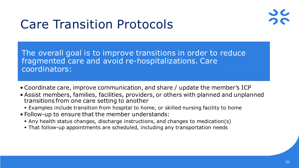## Care Transition Protocols



The overall goal is to improve transitions in order to reduce fragmented care and avoid re-hospitalizations. Care coordinators:

- Coordinate care, improve communication, and share / update the member's ICP
- Assist members, families, facilities, providers, or others with planned and unplanned transitions from one care setting to another
	- Examples include transition from hospital to home, or skilled nursing facility to home
- Follow-up to ensure that the member understands:
	- Any health status changes, discharge instructions, and changes to medication(s)
	- That follow-up appointments are scheduled, including any transportation needs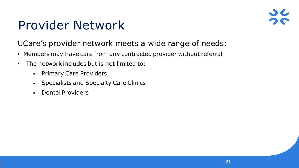## Provider Network

### UCare's provider network meets a wide range of needs:

- Members may have care from any contracted provider without referral
- The network includes but is not limited to:
	- **-** Primary Care Providers
	- Specialists and Specialty Care Clinics
	- Dental Providers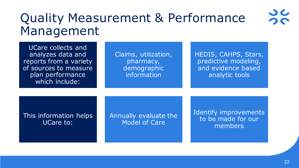## Quality Measurement & Performance Management

| UCare collects and<br>analyzes data and<br>reports from a variety<br>of sources to measure<br>plan performance<br>which include: | Claims, utilization,<br>pharmacy,<br>demographic<br>information | HEDIS, CAHPS, Stars,<br>predictive modeling,<br>and evidence based<br>analytic tools |
|----------------------------------------------------------------------------------------------------------------------------------|-----------------------------------------------------------------|--------------------------------------------------------------------------------------|
| This information helps<br>UCare to:                                                                                              | Annually evaluate the<br><b>Model of Care</b>                   | Identify improvements<br>to be made for our<br>members                               |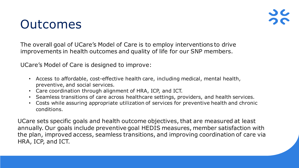### Outcomes

The overall goal of UCare's Model of Care is to employ interventions to drive improvements in health outcomes and quality of life for our SNP members.

UCare's Model of Care is designed to improve:

- Access to affordable, cost-effective health care, including medical, mental health, preventive, and social services.
- Care coordination through alignment of HRA, ICP, and ICT.
- Seamless transitions of care across healthcare settings, providers, and health services.
- Costs while assuring appropriate utilization of services for preventive health and chronic conditions.

UCare sets specific goals and health outcome objectives, that are measured at least annually. Our goals include preventive goal HEDIS measures, member satisfaction with the plan, improved access, seamless transitions, and improving coordination of care via HRA, ICP, and ICT.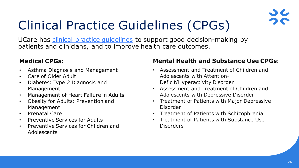

## Clinical Practice Guidelines (CPGs)

UCare has *clinical practice [guidelines](https://www.ucare.org/providers/policies-resources/cpgs#:%7E:text=UCare%E2%80%99s%20clinical%20practice%20guidelines%20includes%20the%20primary%20source,for%20modifications%20and%20additional%20references%20if%20available.%20MEDICAL)* to support good decision-making by patients and clinicians, and to improve health care outcomes.

#### **Medical CPGs:**

- Asthma Diagnosis and Management
- Care of Older Adult
- Diabetes: Type 2 Diagnosis and Management
- Management of Heart Failure in Adults
- Obesity for Adults: Prevention and Management
- Prenatal Care
- Preventive Services for Adults
- Preventive Services for Children and Adolescents

#### **Mental Health and Substance Use CPGs:**

- Assessment and Treatment of Children and Adolescents with Attention-Deficit/Hyperactivity Disorder
- Assessment and Treatment of Children and Adolescents with Depressive Disorder
- Treatment of Patients with Major Depressive Disorder
- Treatment of Patients with Schizophrenia
- Treatment of Patients with Substance Use **Disorders**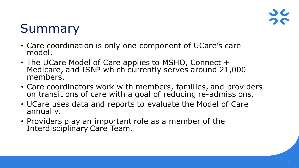## Summary

- Care coordination is only one component of UCare's care model.
- The UCare Model of Care applies to MSHO, Connect + Medicare, and ISNP which currently serves around 21,000 members.
- Care coordinators work with members, families, and providers on transitions of care with a goal of reducing re-admissions.
- UCare uses data and reports to evaluate the Model of Care annually.
- Providers play an important role as a member of the Interdisciplinary Care Team.